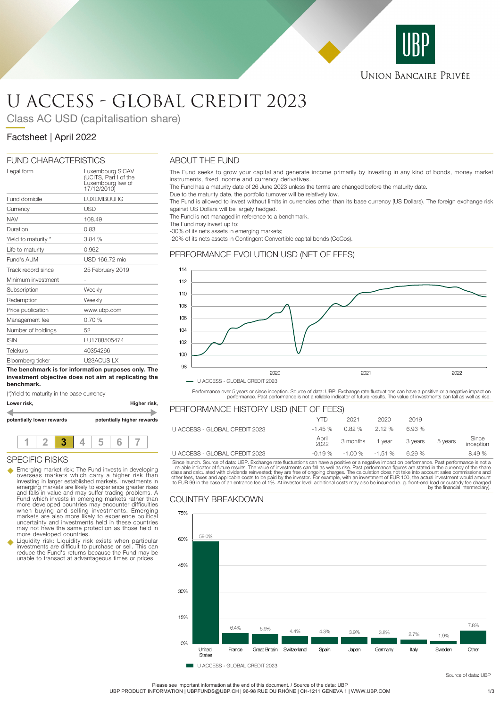

# U ACCESS - GLOBAL CREDIT 2023

Class AC USD (capitalisation share)

## Factsheet | April 2022

### FUND CHARACTERISTICS

| Legal form          | Luxembourg SICAV<br>(UCITS, Part I of the<br>Luxembourg law of<br>17/12/2010) |
|---------------------|-------------------------------------------------------------------------------|
| Fund domicile       | <b>LUXEMBOURG</b>                                                             |
| Currency            | USD                                                                           |
| <b>NAV</b>          | 108.49                                                                        |
| Duration            | 0.83                                                                          |
| Yield to maturity * | 3.84 %                                                                        |
| Life to maturity    | 0.962                                                                         |
| Fund's AUM          | USD 166.72 mio                                                                |
| Track record since  | 25 February 2019                                                              |
| Minimum investment  |                                                                               |
| Subscription        | Weekly                                                                        |
| Redemption          | Weekly                                                                        |
| Price publication   | www.ubp.com                                                                   |
| Management fee      | 0.70%                                                                         |
| Number of holdings  | 52                                                                            |
| <b>ISIN</b>         | LU1788505474                                                                  |
| <b>Telekurs</b>     | 40354266                                                                      |
| Bloomberg ticker    | U23ACUS LX                                                                    |

**The benchmark is for information purposes only. The investment objective does not aim at replicating the benchmark.**

(\*)Yield to maturity in the base currency

| Lower risk,               | Higher risk,               |
|---------------------------|----------------------------|
|                           |                            |
| potentially lower rewards | potentially higher rewards |



#### SPECIFIC RISKS

- Emerging market risk: The Fund invests in developing overseas markets which carry a higher risk than investing in larger established markets. Investments in emerging markets are likely to experience greater rises and falls in value and may suffer trading problems. A Fund which invests in emerging markets rather than<br>more developed countries may encounter difficulties<br>when buying and selling investments. Efficulties<br>markets are also more likely to experience political<br>uncertainty and i may not have the same protection as those held in more developed countries.
- mere accepped countries.<br>Liquidity risk: Liquidity risk exists when particular investments are difficult to purchase or sell. This can reduce the Fund's returns because the Fund may be unable to transact at advantageous times or prices.

#### ABOUT THE FUND

The Fund seeks to grow your capital and generate income primarily by investing in any kind of bonds, money market instruments, fixed income and currency derivatives. The Fund has a maturity date of 26 June 2023 unless the terms are changed before the maturity date. Due to the maturity date, the portfolio turnover will be relatively low. The Fund is allowed to invest without limits in currencies other than its base currency (US Dollars). The foreign exchange risk against US Dollars will be largely hedged.

The Fund is not managed in reference to a benchmark.

The Fund may invest up to:

-30% of its nets assets in emerging markets;

-20% of its nets assets in Contingent Convertible capital bonds (CoCos).

#### PERFORMANCE EVOLUTION USD (NET OF FEES)



Performance over 5 years or since inception. Source of data: UBP. Exchange rate fluctuations can have a positive or a negative impact on<br>performance. Past performance is not a reliable indicator of future results. The valu

| U ACCESS - GLOBAL CREDIT 2023         | $-0.19\%$     | $-1.00\%$ $-1.51\%$ |      | 6.29%   |         | 8.49%              |
|---------------------------------------|---------------|---------------------|------|---------|---------|--------------------|
|                                       | April<br>2022 | 3 months 1 year     |      | 3 years | 5 years | Since<br>inception |
| U ACCESS - GLOBAL CREDIT 2023         | $-1.45%$      | $0.82\%$ 2.12 %     |      | 6.93 %  |         |                    |
|                                       | <b>YTD</b>    | 2021                | 2020 | 2019    |         |                    |
| PERFORMANCE HISTORY USD (NET OF FEES) |               |                     |      |         |         |                    |

Since launch. Source of data: UBP. Exchange rate fluctuations can have a positive or a negative impact on performance. Past performance is not a<br>reliable indicator of future results. The value of investments can fall as we

#### COUNTRY BREAKDOWN



Please see important information at the end of this document. / Source of the data: UBP UBP PRODUCT INFORMATION | UBPFUNDS@UBP.CH | 96-98 RUE DU RHÔNE | CH-1211 GENEVA 1 | WWW.UBP.COM 1/3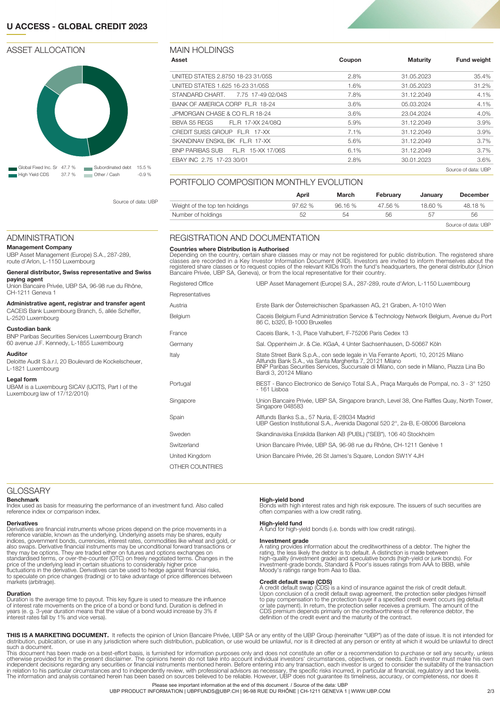#### **U ACCESS - GLOBAL CREDIT 2023**

#### ASSET ALLOCATION



| Asset                                | Coupon | <b>Maturity</b> | <b>Fund weight</b>  |  |
|--------------------------------------|--------|-----------------|---------------------|--|
| UNITED STATES 2.8750 18-23 31/05S    | 2.8%   | 31.05.2023      | 35.4%               |  |
| UNITED STATES 1.625 16-23 31/05S     | 1.6%   | 31.05.2023      | 31.2%               |  |
| STANDARD CHART. 7.75 17-49 02/04S    | 7.8%   | 31.12.2049      | 4.1%                |  |
| BANK OF AMERICA CORP FL.R 18-24      | 3.6%   | 05.03.2024      | 4.1%                |  |
| JPMORGAN CHASE & CO FL.R 18-24       | 3.6%   | 23.04.2024      | 4.0%                |  |
| BBVA S5 REGS<br>FL.R 17-XX 24/08Q    | 5.9%   | 31.12.2049      | 3.9%                |  |
| CREDIT SUISS GROUP FL.R 17-XX        | 7.1%   | 31.12.2049      | 3.9%                |  |
| SKANDINAV ENSKIL BK FL.R 17-XX       | 5.6%   | 31.12.2049      | 3.7%                |  |
| BNP PARIBAS SUB<br>FL.R 15-XX 17/06S | 6.1%   | 31.12.2049      | 3.7%                |  |
| EBAY INC 2.75 17-23 30/01            | 2.8%   | 30.01.2023      | 3.6%                |  |
|                                      |        |                 | Source of data: UBP |  |

#### PORTFOLIO COMPOSITION MONTHLY FVOLUTION

|                                | April  | March  | February | January | December            |
|--------------------------------|--------|--------|----------|---------|---------------------|
| Weight of the top ten holdings | 97.62% | 96.16% | 47.56 %  | 18.60 % | 48.18%              |
| Number of holdings             | 52     | 54     | 56       | 57      | 56                  |
|                                |        |        |          |         | Source of data: UBP |

#### ADMINISTRATION

#### **Management Company**

UBP Asset Management (Europe) S.A., 287-289, route d'Arlon, L-1150 Luxembourg

#### **General distributor, Swiss representative and Swiss**

Source of data: UBP

**paying agent** Union Bancaire Privée, UBP SA, 96-98 rue du Rhône, CH-1211 Geneva 1

**Administrative agent, registrar and transfer agent**

CACEIS Bank Luxembourg Branch, 5, allée Scheffer, L-2520 Luxembourg

#### **Custodian bank**

BNP Paribas Securities Services Luxembourg Branch 60 avenue J.F. Kennedy, L-1855 Luxembourg

#### **Auditor**

Deloitte Audit S.à.r.l, 20 Boulevard de Kockelscheuer, L-1821 Luxembourg

#### **Legal form**

UBAM is a Luxembourg SICAV (UCITS, Part I of the Luxembourg law of 17/12/2010)

#### REGISTRATION AND DOCUMENTATION

#### **Countries where Distribution is Authorised**

MAIN HOLDINGS

Depending on the country, certain share classes may or may not be registered for public distribution. The registered share<br>classes are recorded in a Key Investor Information Document (KIID). Investors are invited to inform

| Registered Office | UBP Asset Management (Europe) S.A., 287-289, route d'Arlon, L-1150 Luxembourg                                                                                                                                                                                        |
|-------------------|----------------------------------------------------------------------------------------------------------------------------------------------------------------------------------------------------------------------------------------------------------------------|
| Representatives   |                                                                                                                                                                                                                                                                      |
| Austria           | Erste Bank der Österreichischen Sparkassen AG, 21 Graben, A-1010 Wien                                                                                                                                                                                                |
| Belgium           | Caceis Belgium Fund Administration Service & Technology Network Belgium, Avenue du Port<br>86 C, b320, B-1000 Bruxelles                                                                                                                                              |
| France            | Caceis Bank, 1-3, Place Valhubert, F-75206 Paris Cedex 13                                                                                                                                                                                                            |
| Germany           | Sal. Oppenheim Jr. & Cie. KGaA, 4 Unter Sachsenhausen, D-50667 Köln                                                                                                                                                                                                  |
| Italy             | State Street Bank S.p.A., con sede legale in Via Ferrante Aporti, 10, 20125 Milano<br>Allfunds Bank S.A., via Santa Margherita 7, 20121 Milano<br>BNP Paribas Securities Services, Succursale di Milano, con sede in Milano, Piazza Lina Bo<br>Bardi 3, 20124 Milano |
| Portugal          | BEST - Banco Electronico de Serviço Total S.A., Praça Marquês de Pompal, no. 3 - 3° 1250<br>- 161 Lisboa                                                                                                                                                             |
| Singapore         | Union Bancaire Privée, UBP SA, Singapore branch, Level 38, One Raffles Quay, North Tower,<br>Singapore 048583                                                                                                                                                        |
| Spain             | Allfunds Banks S.a., 57 Nuria, E-28034 Madrid<br>UBP Gestion Institutional S.A., Avenida Diagonal 520 2°, 2a-B, E-08006 Barcelona                                                                                                                                    |
| Sweden            | Skandinaviska Enskilda Banken AB (PUBL) ("SEB"), 106 40 Stockholm                                                                                                                                                                                                    |
| Switzerland       | Union Bancaire Privée, UBP SA, 96-98 rue du Rhône, CH-1211 Genève 1                                                                                                                                                                                                  |
| United Kingdom    | Union Bancaire Privée, 26 St James's Square, London SW1Y 4JH                                                                                                                                                                                                         |
| OTHER COUNTRIES   |                                                                                                                                                                                                                                                                      |
|                   |                                                                                                                                                                                                                                                                      |

#### **GLOSSARY**

**Benchmark** Index used as basis for measuring the performance of an investment fund. Also called reference index or comparison index.

#### **Derivatives**

Derivatives are financial instruments whose prices depend on the price movements in a reference variable, known as the underlying. Underlying assets may be shares, equity indices, government bonds, currencies, interest rates, commodities like wheat and gold, or also swaps. Derivative financial instruments may be unconditional forward transactions or<br>they may be options. They are traded either on futures and options exchanges on<br>standardised terms, or over-the-counter (OTC) on fre markets (arbitrage).

#### **Duration**

Duration is the average time to payout. This key figure is used to measure the influence of interest rate movements on the price of a bond or bond fund. Duration is defined in years (e. g. 3-year duration means that the value of a bond would increase by 3% if interest rates fall by 1% and vice versa).

#### **High-yield bond**

Bonds with high interest rates and high risk exposure. The issuers of such securities are often companies with a low credit rating.

#### **High-yield fund**

A fund for high-yield bonds (i.e. bonds with low credit ratings).

**Investment grade**<br>A rating provides information about the creditworthiness of a debtor. The higher the<br>rating, the less likely the debtor is to default. A distinction is made between<br>high-quality (investment grade) and sp Moody's ratings range from Aaa to Baa.

**Credit default swap (CDS)**<br>A credit default swap (CDS) is a kind of insurance against the risk of credit default.<br>Upon conclusion of a credit default swap agreement, the protection seller pledges himself<br>to pay compensati or late payment). In return, the protection seller receives a premium. The amount of the<br>CDS premium depends primarily on the creditworthiness of the reference debtor, the<br>definition of the credit event and the maturity of

**THIS IS A MARKETING DOCUMENT.** It reflects the opinion of Union Bancaire Privée, UBP SA or any entity of the UBP Group (hereinafter "UBP") as of the date of issue. It is not intended for distribution, publication, or use in any jurisdiction where such distribution, publication, or use would be unlawful, nor is it directed at any person or entity at which it would be unlawful to direct such a document.

This document has been made on a best-effort basis, is furnished for information purposes only and does not constitute an offer or a recommendation to purchase or sell any security, unless<br>otherwise provided for in the pre The information and analysis contained herein has been based on sources believed to be reliable. However, UBP does not guarantee its timeliness, accuracy, or completeness, nor does it Please see important information at the end of this document. / Source of the data: UBP

UBP PRODUCT INFORMATION | UBPFUNDS@UBP.CH | 96-98 RUE DU RHÔNE | CH-1211 GENEVA 1 | WWW.UBP.COM 2/3